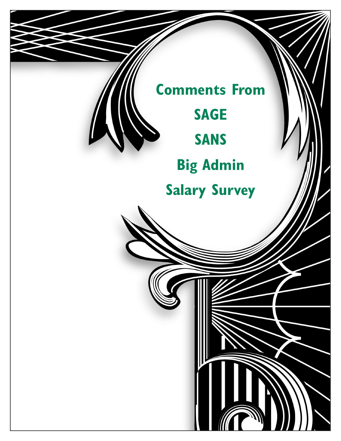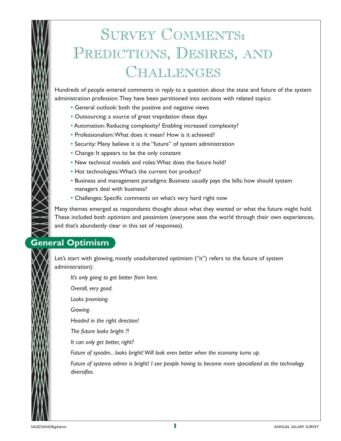# SURVEY COMMENTS: PREDICTIONS, DESIRES, AND CHALLENGES

Hundreds of people entered comments in reply to a question about the state and future of the system administration profession.They have been partitioned into sections with related topics:

- General outlook: both the positive and negative views
- Outsourcing: a source of great trepidation these days
- Automation: Reducing complexity? Enabling increased complexity?
- Professionalism:What does it mean? How is it achieved?
- Security: Many believe it is the "future" of system administration
- Change: It appears to be the only constant
- New technical models and roles:What does the future hold?
- Hot technologies:What's the current hot product?
- Business and management paradigms: Business usually pays the bills; how should system managers deal with business?
- Challenges: Specific comments on what's very hard right now

Many themes emerged as respondents thought about what they wanted or what the future might hold. These included both optimism and pessimism (everyone sees the world through their own experiences, and that's abundantly clear in this set of responses).

# **General Optimism**

Let's start with glowing, mostly unadulterated optimism ("it") refers to the future of system administration):

*It's only going to get better from here.*

*Overall, very good.*

*Looks promising.*

*Growing.*

*Headed in the right direction!* 

*The future looks bright ?!* 

*It can only get better, right?* 

*Future of sysadm... looks bright! Will look even better when the economy turns up.*

*Future of systems admin is bright! I see people having to become more specialized as the technology diversifies.*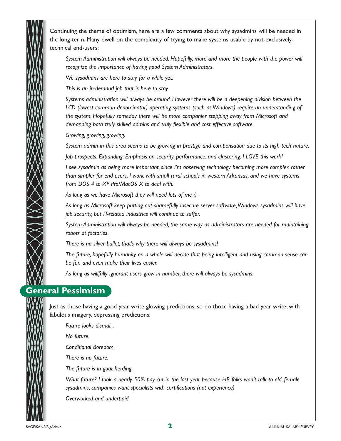Continuing the theme of optimism, here are a few comments about why sysadmins will be needed in the long-term. Many dwell on the complexity of trying to make systems usable by not-exclusivelytechnical end-users:

*System Administration will always be needed. Hopefully, more and more the people with the power will recognize the importance of having good System Administrators.*

*We sysadmins are here to stay for a while yet.*

*This is an in-demand job that is here to stay.*

*Systems administration will always be around. However there will be a deepening division between the LCD (lowest common denominator) operating systems (such as Windows) require an understanding of the system. Hopefully someday there will be more companies stepping away from Microsoft and demanding both truly skilled admins and truly flexible and cost effective software.*

*Growing, growing, growing.*

*System admin in this area seems to be growing in prestige and compensation due to its high tech nature.*

*Job prospects: Expanding. Emphasis on security, performance, and clustering. I LOVE this work!* 

*I see sysadmin as being more important, since I'm observing technology becoming more complex rather than simpler for end users. I work with small rural schools in western Arkansas, and we have systems from DOS 4 to XP Pro/MacOS X to deal with.*

*As long as we have Microsoft they will need lots of me :) .*

*As long as Microsoft keep putting out shamefully insecure server software,Windows sysadmins will have job security, but IT-related industries will continue to suffer.*

*System Administration will always be needed, the same way as administrators are needed for maintaining robots at factories.*

*There is no silver bullet, that's why there will always be sysadmins!* 

*The future, hopefully humanity on a whole will decide that being intelligent and using common sense can be fun and even make their lives easier.*

*As long as willfully ignorant users grow in number, there will always be sysadmins.*

### **General Pessimism**

Just as those having a good year write glowing predictions, so do those having a bad year write, with fabulous imagery, depressing predictions:

*Future looks dismal...*

*No future.*

*Conditional Boredom.*

*There is no future.*

*The future is in goat herding.*

*What future? I took a nearly 50% pay cut in the last year because HR folks won't talk to old, female sysadmins, companies want specialists with certifications (not experience)* 

*Overworked and underpaid.*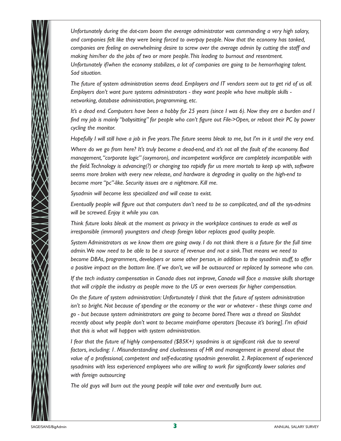

*Unfortunately during the dot-com boom the average administrator was commanding a very high salary, and companies felt like they were being forced to overpay people. Now that the economy has tanked, companies are feeling an overwhelming desire to screw over the average admin by cutting the staff and making him/her do the jobs of two or more people.This leading to burnout and resentment. Unfortunately if/when the economy stabilizes, a lot of companies are going to be hemorrhaging talent. Sad situation.*

*The future of system administration seems dead. Employers and IT vendors seem out to get rid of us all. Employers don't want pure systems administrators - they want people who have multiple skills networking, database administration, programming, etc.*

*It's a dead end. Computers have been a hobby for 25 years (since I was 6). Now they are a burden and I find my job is mainly "babysitting" for people who can't figure out File->Open, or reboot their PC by power cycling the monitor.*

*Hopefully I will still have a job in five years.The future seems bleak to me, but I'm in it until the very end.*

*Where do we go from here? It's truly become a dead-end, and it's not all the fault of the economy. Bad management,"corporate logic" (oxymoron), and incompetent workforce are completely incompatible with the field.Technology is advancing(?) or changing too rapidly for us mere mortals to keep up with, software seems more broken with every new release, and hardware is degrading in quality on the high-end to become more "pc"-like. Security issues are a nightmare. Kill me.*

*Sysadmin will become less specialized and will cease to exist.*

*Eventually people will figure out that computers don't need to be so complicated, and all the sys-admins will be screwed. Enjoy it while you can.*

*Think future looks bleak at the moment as privacy in the workplace continues to erode as well as irresponsible (immoral) youngsters and cheap foreign labor replaces good quality people.*

*System Administrators as we know them are going away. I do not think there is a future for the full time admin.We now need to be able to be a source of revenue and not a sink.That means we need to become DBAs, programmers, developers or some other person, in addition to the sysadmin stuff, to offer a positive impact on the bottom line. If we don't, we will be outsourced or replaced by someone who can.*

*If the tech industry compensation in Canada does not improve, Canada will face a massive skills shortage that will cripple the industry as people move to the US or even overseas for higher compensation.*

*On the future of system administration: Unfortunately I think that the future of system administration isn't so bright. Not because of spending or the economy or the war or whatever - these things come and go - but because system administrators are going to become bored.There was a thread on Slashdot recently about why people don't want to become mainframe operators [because it's boring]. I'm afraid that this is what will happen with system administration.*

*I fear that the future of highly compensated (\$85K+) sysadmins is at significant risk due to several factors, including: 1. Misunderstanding and cluelessness of HR and management in general about the value of a professional, competent and self-educating sysadmin generalist. 2. Replacement of experienced sysadmins with less experienced employees who are willing to work for significantly lower salaries and with foreign outsourcing* 

*The old guys will burn out the young people will take over and eventually burn out.*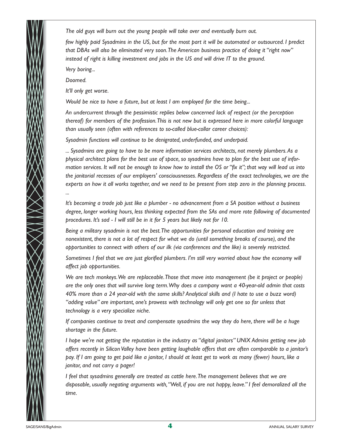*The old guys will burn out the young people will take over and eventually burn out.*

*few highly paid Sysadmins in the US, but for the most part it will be automated or outsourced. I predict that DBAs will also be eliminated very soon.The American business practice of doing it "right now" instead of right is killing investment and jobs in the US and will drive IT to the ground.*

*Very boring...*

*Doomed.*

*...*

*It'll only get worse.*

*Would be nice to have a future, but at least I am employed for the time being...*

*An undercurrent through the pessimistic replies below concerned lack of respect (or the perception thereof) for members of the profession.This is not new but is expressed here in more colorful language than usually seen (often with references to so-called blue-collar career choices):*

*Sysadmin functions will continue to be denigrated, underfunded, and underpaid.*

*... Sysadmins are going to have to be more information services architects, not merely plumbers.As a physical architect plans for the best use of space, so sysadmins have to plan for the best use of information services. It will not be enough to know how to install the OS or "fix it"; that way will lead us into the janitorial recesses of our employers' consciousnesses. Regardless of the exact technologies, we are the experts on how it all works together, and we need to be present from step zero in the planning process.*

*It's becoming a trade job just like a plumber - no advancement from a SA position without a business degree, longer working hours, less thinking expected from the SAs and more rote following of documented procedures. It's sad - I will still be in it for 5 years but likely not for 10.*

*Being a military sysadmin is not the best.The opportunities for personal education and training are nonexistent, there is not a lot of respect for what we do (until something breaks of course), and the opportunities to connect with others of our ilk (via conferences and the like) is severely restricted.*

*Sometimes I feel that we are just glorified plumbers. I'm still very worried about how the economy will affect job opportunities.*

*We are tech monkeys.We are replaceable.Those that move into management (be it project or people) are the only ones that will survive long term.Why does a company want a 40-year-old admin that costs 40% more than a 24 year-old with the same skills? Analytical skills and (I hate to use a buzz word) "adding value" are important, one's prowess with technology will only get one so far unless that technology is a very specialize niche.*

*If companies continue to treat and compensate sysadmins the way they do here, there will be a huge shortage in the future.*

*I hope we're not getting the reputation in the industry as "digital janitors" UNIX Admins getting new job offers recently in Silicon Valley have been getting laughable offers that are often comparable to a janitor's pay. If I am going to get paid like a janitor, I should at least get to work as many (fewer) hours, like a janitor, and not carry a pager!* 

*I feel that sysadmins generally are treated as cattle here.The management believes that we are disposable, usually negating arguments with,"Well, if you are not happy, leave." I feel demoralized all the time.*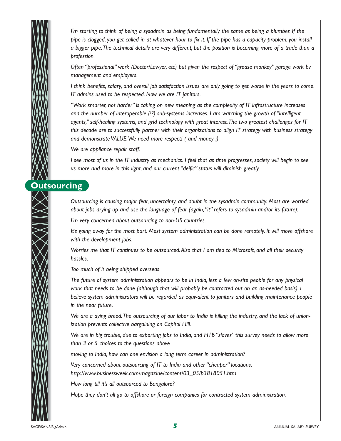*I'm starting to think of being a sysadmin as being fundamentally the same as being a plumber. If the pipe is clogged, you get called in at whatever hour to fix it. If the pipe has a capacity problem, you install a bigger pipe.The technical details are very different, but the position is becoming more of a trade than a profession.*

*Often "professional" work (Doctor/Lawyer, etc) but given the respect of "grease monkey" garage work by management and employers.*

*I think benefits, salary, and overall job satisfaction issues are only going to get worse in the years to come. IT admins used to be respected. Now we are IT janitors.*

*"Work smarter, not harder" is taking on new meaning as the complexity of IT infrastructure increases and the number of interoperable (!?) sub-systems increases. I am watching the growth of "intelligent agents," self-healing systems, and grid technology with great interest.The two greatest challenges for IT this decade are to successfully partner with their organizations to align IT strategy with business strategy and demonstrate VALUE.We need more respect! ( and money ;)* 

*We are appliance repair staff.*

*I see most of us in the IT industry as mechanics. I feel that as time progresses, society will begin to see us more and more in this light, and our current "deific" status will diminish greatly.*

## **Outsourcing**

*Outsourcing is causing major fear, uncertainty, and doubt in the sysadmin community. Most are worried about jobs drying up and use the language of fear (again,"it" refers to sysadmin and/or its future):*

*I'm very concerned about outsourcing to non-US countries.*

*It's going away for the most part. Most system administration can be done remotely. It will move offshore with the development jobs.*

*Worries me that IT continues to be outsourced.Also that I am tied to Microsoft, and all their security hassles.*

*Too much of it being shipped overseas.*

*The future of system administration appears to be in India, less a few on-site people for any physical work that needs to be done (although that will probably be contracted out on an as-needed basis). I believe system administrators will be regarded as equivalent to janitors and building maintenance people in the near future.*

*We are a dying breed.The outsourcing of our labor to India is killing the industry, and the lack of unionization prevents collective bargaining on Capitol Hill.*

*We are in big trouble, due to exporting jobs to India, and H1B "slaves" this survey needs to allow more than 3 or 5 choices to the questions above* 

*moving to India, how can one envision a long term career in administration?* 

*Very concerned about outsourcing of IT to India and other "cheaper" locations. http://www.businessweek.com/magazine/content/03\_05/b3818051.htm* 

*How long till it's all outsourced to Bangalore?* 

*Hope they don't all go to offshore or foreign companies for contracted system administration.*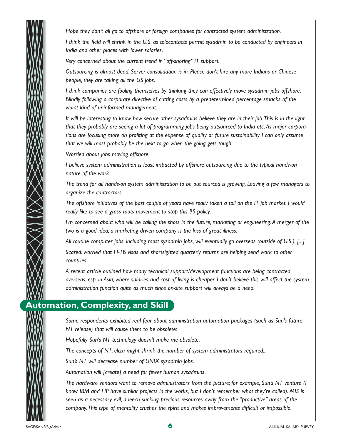*Hope they don't all go to offshore or foreign companies for contracted system administration.*

*I think the field will shrink in the U.S. as telecontacts permit sysadmin to be conducted by engineers in India and other places with lower salaries.*

*Very concerned about the current trend in "off-shoring" IT support.*

*Outsourcing is almost dead. Server consolidation is in. Please don't hire any more Indians or Chinese people, they are taking all the US jobs.*

*I think companies are fooling themselves by thinking they can effectively move sysadmin jobs offshore. Blindly following a corporate directive of cutting costs by a predetermined percentage smacks of the worst kind of uninformed management.*

*It will be interesting to know how secure other sysadmins believe they are in their job.This is in the light that they probably are seeing a lot of programming jobs being outsourced to India etc.As major corporations are focusing more on profiting at the expense of quality or future sustainability I can only assume that we will most probably be the next to go when the going gets tough.*

*Worried about jobs moving offshore.*

*I believe system administration is least impacted by offshore outsourcing due to the typical hands-on nature of the work.*

*The trend for all hands-on system administration to be out sourced is growing. Leaving a few managers to organize the contractors.*

*The offshore initiatives of the past couple of years have really taken a toll on the IT job market. I would really like to see a grass roots movement to stop this BS policy.*

*I'm concerned about who will be calling the shots in the future, marketing or engineering.A merger of the two is a good idea, a marketing driven company is the kiss of great illness.*

*All routine computer jobs, including most sysadmin jobs, will eventually go overseas (outside of U.S.). [...] Scared: worried that H-1B visas and shortsighted quarterly returns are helping send work to other countries.*

*A recent article outlined how many technical support/development functions are being contracted overseas, esp. in Asia, where salaries and cost of living is cheaper. I don't believe this will affect the system administration function quite as much since on-site support will always be a need.*

## **Automation, Complexity, and Skill**

*Some respondents exhibited real fear about administration automation packages (such as Sun's future N1 release) that will cause them to be obsolete:*

*Hopefully Sun's N1 technology doesn't make me obsolete.*

*The concepts of N1, eliza might shrink the number of system administrators required...*

*Sun's N1 will decrease number of UNIX sysadmin jobs.*

*Automation will [create] a need for fewer human sysadmins.*

*The hardware vendors want to remove administrators from the picture; for example, Sun's N1 venture (I know IBM and HP have similar projects in the works, but I don't remember what they're called). MIS is seen as a necessary evil, a leech sucking precious resources away from the "productive" areas of the company.This type of mentality crushes the spirit and makes improvements difficult or impossible.*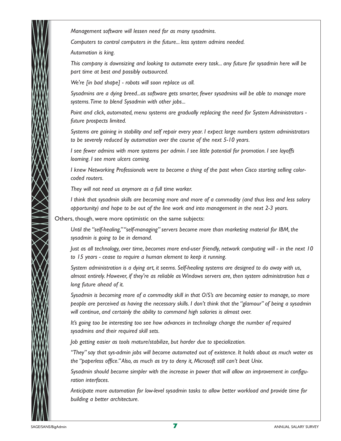*Management software will lessen need for as many sysadmins. Computers to control computers in the future... less system admins needed. Automation is king. This company is downsizing and looking to automate every task... any future for sysadmin here will be part time at best and possibly outsourced.*

*We're [in bad shape] - robots will soon replace us all.*

*Sysadmins are a dying breed...as software gets smarter, fewer sysadmins will be able to manage more systems.Time to blend Sysadmin with other jobs...*

*Point and click, automated, menu systems are gradually replacing the need for System Administrators future prospects limited.*

*Systems are gaining in stability and self repair every year. I expect large numbers system administrators to be severely reduced by automation over the course of the next 5-10 years.*

*I see fewer admins with more systems per admin. I see little potential for promotion. I see layoffs looming. I see more ulcers coming.*

*I knew Networking Professionals were to become a thing of the past when Cisco starting selling colorcoded routers.*

*They will not need us anymore as a full time worker.*

*I think that sysadmin skills are becoming more and more of a commodity (and thus less and less salary opportunity) and hope to be out of the line work and into management in the next 2-3 years.*

Others, though, were more optimistic on the same subjects:

*Until the "self-healing,""self-managing" servers become more than marketing material for IBM, the sysadmin is going to be in demand.*

*Just as all technology, over time, becomes more end-user friendly, network computing will - in the next 10 to 15 years - cease to require a human element to keep it running.*

*System administration is a dying art, it seems. Self-healing systems are designed to do away with us, almost entirely. However, if they're as reliable as Windows servers are, then system administration has a long future ahead of it.*

*Sysadmin is becoming more of a commodity skill in that O/S's are becoming easier to manage, so more people are perceived as having the necessary skills. I don't think that the "glamour" of being a sysadmin will continue, and certainly the ability to command high salaries is almost over.*

*It's going too be interesting too see how advances in technology change the number of required sysadmins and their required skill sets.*

*Job getting easier as tools mature/stabilize, but harder due to specialization.*

*"They" say that sys-admin jobs will become automated out of existence. It holds about as much water as the "paperless office."Also, as much as try to deny it, Microsoft still can't beat Unix.*

*Sysadmin should become simpler with the increase in power that will allow an improvement in configuration interfaces.*

*Anticipate more automation for low-level sysadmin tasks to allow better workload and provide time for building a better architecture.*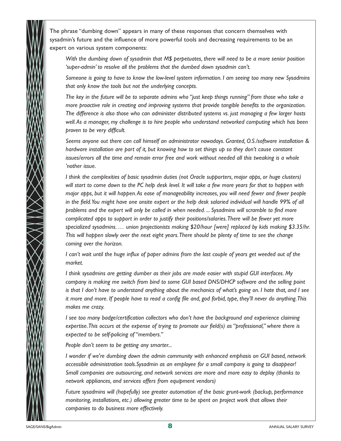The phrase "dumbing down" appears in many of these responses that concern themselves with sysadmin's future and the influence of more powerful tools and decreasing requirements to be an expert on various system components:

*With the dumbing down of sysadmin that M\$ perpetuates, there will need to be a more senior position 'super-admin' to resolve all the problems that the dumbed down sysadmin can't.*

*Someone is going to have to know the low-level system information. I am seeing too many new Sysadmins that only know the tools but not the underlying concepts.*

*The key in the future will be to separate admins who "just keep things running" from those who take a more proactive role in creating and improving systems that provide tangible benefits to the organization. The difference is also those who can administer distributed systems vs. just managing a few larger hosts well.As a manager, my challenge is to hire people who understand networked computing which has been proven to be very difficult.*

*Seems anyone out there can call himself an administrator nowadays. Granted, O.S./software installation & hardware installation are part of it, but knowing how to set things up so they don't cause constant issues/errors all the time and remain error free and work without needed all this tweaking is a whole 'nother issue.*

*I think the complexities of basic sysadmin duties (not Oracle supporters, major apps, or huge clusters) will start to come down to the PC help desk level. It will take a few more years for that to happen with major apps, but it will happen.As ease of manageability increases, you will need fewer and fewer people in the field.You might have one onsite expert or the help desk salaried individual will handle 99% of all problems and the expert will only be called in when needed. ... Sysadmins will scramble to find more complicated apps to support in order to justify their positions/salaries.There will be fewer yet more specialized sysadmins. … union projectionists making \$20/hour [were] replaced by kids making \$3.35/hr. This will happen slowly over the next eight years.There should be plenty of time to see the change coming over the horizon.*

*I can't wait until the huge influx of paper admins from the last couple of years get weeded out of the market.*

*I think sysadmins are getting dumber as their jobs are made easier with stupid GUI interfaces. My company is making me switch from bind to some GUI based DNS/DHCP software and the selling point is that I don't have to understand anything about the mechanics of what's going on. I hate that, and I see it more and more. If people have to read a config file and, god forbid, type, they'll never do anything.This makes me crazy.*

*I see too many badge/certification collectors who don't have the background and experience claiming expertise.This occurs at the expense of trying to promote our field(s) as "professional," where there is expected to be self-policing of "members."*

*People don't seem to be getting any smarter...*

*I wonder if we're dumbing down the admin community with enhanced emphasis on GUI based, network accessible administration tools.Sysadmin as an employee for a small company is going to disappear! Small companies are outsourcing, and network services are more and more easy to deploy (thanks to network appliances, and services offers from equipment vendors)* 

*Future sysadmins will (hopefully) see greater automation of the basic grunt-work (backup, performance monitoring, installations, etc.) allowing greater time to be spent on project work that allows their companies to do business more effectively.*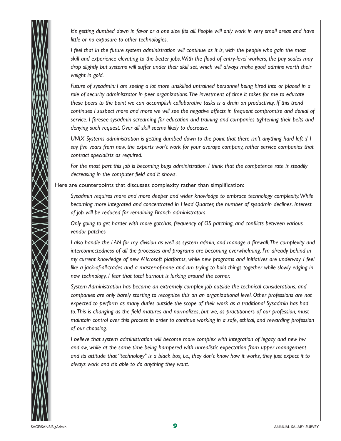*It's getting dumbed down in favor or a one size fits all. People will only work in very small areas and have little or no exposure to other technologies.*

*I feel that in the future system administration will continue as it is, with the people who gain the most skill and experience elevating to the better jobs.With the flood of entry-level workers, the pay scales may drop slightly but systems will suffer under their skill set, which will always make good admins worth their weight in gold.*

*Future of sysadmin: I am seeing a lot more unskilled untrained personnel being hired into or placed in a role of security administrator in peer organizations.The investment of time it takes for me to educate these peers to the point we can accomplish collaborative tasks is a drain on productivity. If this trend continues I suspect more and more we will see the negative affects in frequent compromise and denial of service. I foresee sysadmin screaming for education and training and companies tightening their belts and denying such request. Over all skill seems likely to decrease.*

*UNIX Systems administration is getting dumbed down to the point that there isn't anything hard left :( I say five years from now, the experts won't work for your average company, rather service companies that contract specialists as required.*

*For the most part this job is becoming bugs administration. I think that the competence rate is steadily decreasing in the computer field and it shows.*

Here are counterpoints that discusses complexity rather than simplification:

*Sysadmin requires more and more deeper and wider knowledge to embrace technology complexity.While becoming more integrated and concentrated in Head Quarter, the number of sysadmin declines. Interest of job will be reduced for remaining Branch administrators.*

*Only going to get harder with more gotchas, frequency of OS patching, and conflicts between various vendor patches* 

*I also handle the LAN for my division as well as system admin, and manage a firewall.The complexity and interconnectedness of all the processes and programs are becoming overwhelming. I'm already behind in my current knowledge of new Microsoft platforms, while new programs and initiatives are underway. I feel like a jack-of-all-trades and a master-of-none and am trying to hold things together while slowly edging in new technology. I fear that total burnout is lurking around the corner.*

*System Administration has become an extremely complex job outside the technical considerations, and companies are only barely starting to recognize this on an organizational level. Other professions are not expected to perform as many duties outside the scope of their work as a traditional Sysadmin has had to.This is changing as the field matures and normalizes, but we, as practitioners of our profession, must maintain control over this process in order to continue working in a safe, ethical, and rewarding profession of our choosing.*

*I believe that system administration will become more complex with integration of legacy and new hw and sw, while at the same time being hampered with unrealistic expectation from upper management and its attitude that "technology" is a black box, i.e., they don't know how it works, they just expect it to always work and it's able to do anything they want.*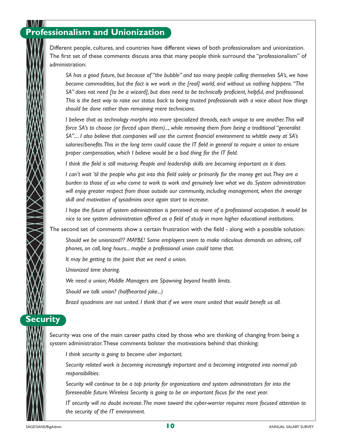# **Professionalism and Unionization**

Different people, cultures, and countries have different views of both professionalism and unionization. The first set of these comments discuss area that many people think surround the "professionalism" of administration:

*SA has a good future, but because of "the bubble" and too many people calling themselves SA's, we have become commodities, but the fact is we work in the [real] world, and without us nothing happens."The SA" does not need [to be a wizard], but does need to be technically proficient, helpful, and professional. This is the best way to raise our status back to being trusted professionals with a voice about how things should be done rather than remaining mere technicians.*

*I believe that as technology morphs into more specialized threads, each unique to one another.This will force SA's to choose (or forced upon them)..., while removing them from being a traditional "generalist SA".... I also believe that companies will use the current financial environment to whittle away at SA's salaries/benefits.This in the long term could cause the IT field in general to require a union to ensure proper compensation, which I believe would be a bad thing for the IT field.*

*I think the field is still maturing. People and leadership skills are becoming important as it does.*

*I can't wait 'til the people who got into this field solely or primarily for the money get out.They are a burden to those of us who come to work to work and genuinely love what we do. System administration will enjoy greater respect from those outside our community, including management, when the average skill and motivation of sysadmins once again start to increase.*

*I hope the future of system administration is perceived as more of a professional occupation. It would be nice to see system administration offered as a field of study in more higher educational institutions.*

The second set of comments show a certain frustration with the field - along with a possible solution:

*Should we be unionized?? MAYBE! Some employers seem to make ridiculous demands on admins, cell phones, on call, long hours... maybe a professional union could tame that.*

*It may be getting to the point that we need a union.*

*Unionized time sharing.*

*We need a union; Middle Managers are Spawning beyond health limits.*

*Should we talk union? (halfhearted joke...)* 

*Brazil sysadmins are not united. I think that if we were more united that would benefit us all.*

Security was one of the main career paths cited by those who are thinking of changing from being a system administrator.These comments bolster the motivations behind that thinking:

*I think security is going to become uber important.*

*Security related work is becoming increasingly important and is becoming integrated into normal job responsibilities.*

*Security will continue to be a top priority for organizations and system administrators far into the foreseeable future.Wireless Security is going to be an important focus for the next year.*

*IT security will no doubt increase.The move toward the cyber-warrior requires more focused attention to the security of the IT environment.*

**Security**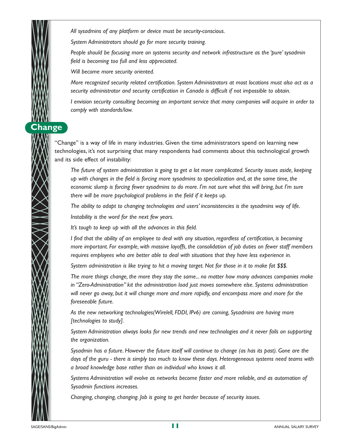*All sysadmins of any platform or device must be security-conscious.*

*System Administrators should go for more security training.*

*People should be focusing more on systems security and network infrastructure as the 'pure' sysadmin field is becoming too full and less appreciated.*

*Will become more security oriented.*

*More recognized security related certification. System Administrators at most locations must also act as a security administrator and security certification in Canada is difficult if not impossible to obtain.*

*I envision security consulting becoming an important service that many companies will acquire in order to comply with standards/law.*

"Change" is a way of life in many industries. Given the time administrators spend on learning new technologies, it's not surprising that many respondents had comments about this technological growth and its side effect of instability:

*The future of system administration is going to get a lot more complicated. Security issues aside, keeping up with changes in the field is forcing more sysadmins to specialization and, at the same time, the economic slump is forcing fewer sysadmins to do more. I'm not sure what this will bring, but I'm sure there will be more psychological problems in the field if it keeps up.*

*The ability to adapt to changing technologies and users' inconsistencies is the sysadmins way of life.*

*Instability is the word for the next few years.*

*It's tough to keep up with all the advances in this field.*

*I find that the ability of an employee to deal with any situation, regardless of certification, is becoming more important. For example, with massive layoffs, the consolidation of job duties on fewer staff members requires employees who are better able to deal with situations that they have less experience in.*

*System administration is like trying to hit a moving target. Not for those in it to make fat \$\$\$.*

*The more things change, the more they stay the same... no matter how many advances companies make in "Zero-Administration" kit the administration load just moves somewhere else. Systems administration will never go away, but it will change more and more rapidly, and encompass more and more for the foreseeable future.*

*As the new networking technologies(Wirelell, FDDI, IPv6) are coming, Sysadmins are having more [technologies to study].*

*System Administration always looks for new trends and new technologies and it never fails on supporting the organization.*

*Sysadmin has a future. However the future itself will continue to change (as has its past). Gone are the days of the guru - there is simply too much to know these days. Heterogeneous systems need teams with a broad knowledge base rather than an individual who knows it all.*

*Systems Administration will evolve as networks become faster and more reliable, and as automation of Sysadmin functions increases.*

*Changing, changing, changing. Job is going to get harder because of security issues.*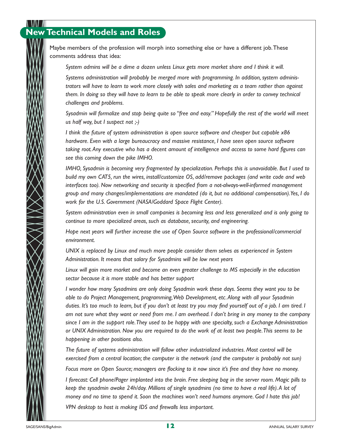# **New Technical Models and Roles**

Maybe members of the profession will morph into something else or have a different job.These comments address that idea:

*System admins will be a dime a dozen unless Linux gets more market share and I think it will.*

*Systems administration will probably be merged more with programming. In addition, system administrators will have to learn to work more closely with sales and marketing as a team rather than against them. In doing so they will have to learn to be able to speak more clearly in order to convey technical challenges and problems.*

*Sysadmin will formalize and stop being quite so "free and easy." Hopefully the rest of the world will meet us half way, but I suspect not ;-)* 

*I think the future of system administration is open source software and cheaper but capable x86 hardware. Even with a large bureaucracy and massive resistance, I have seen open source software taking root.Any executive who has a decent amount of intelligence and access to some hard figures can see this coming down the pike IMHO.*

*IMHO, Sysadmin is becoming very fragmented by specialization. Perhaps this is unavoidable. But I used to build my own CAT5, run the wires, install/customize OS, add/remove packages (and write code and web interfaces too). Now networking and security is specified from a not-always-well-informed management group and many changes/implementations are mandated (do it, but no additional compensation).Yes, I do work for the U.S. Government (NASA/Goddard Space Flight Center).*

*System administration even in small companies is becoming less and less generalized and is only going to continue to more specialized areas, such as database, security, and engineering.*

*Hope next years will further increase the use of Open Source software in the professional/commercial environment.*

*UNIX is replaced by Linux and much more people consider them selves as experienced in System Administration. It means that salary for Sysadmins will be low next years* 

*Linux will gain more market and become an even greater challenge to MS especially in the education sector because it is more stable and has better support* 

*I wonder how many Sysadmins are only doing Sysadmin work these days. Seems they want you to be able to do Project Management, programming,Web Development, etc.Along with all your Sysadmin duties. It's too much to learn, but if you don't at least try you may find yourself out of a job. I am tired. I am not sure what they want or need from me. I am overhead. I don't bring in any money to the company since I am in the support role.They used to be happy with one specialty, such a Exchange Administration or UNIX Administration. Now you are required to do the work of at least two people.This seems to be happening in other positions also.*

*The future of systems administration will follow other industrialized industries. Most control will be* exercised from a central location; the computer is the network (and the computer is probably not sun) *Focus more on Open Source; managers are flocking to it now since it's free and they have no money.*

*I forecast: Cell phone/Pager implanted into the brain. Free sleeping bag in the server room. Magic pills to keep the sysadmin awake 24h/day. Millions of single sysadmins (no time to have a real life).A lot of money and no time to spend it. Soon the machines won't need humans anymore. God I hate this job! VPN desktop to host is making IDS and firewalls less important.*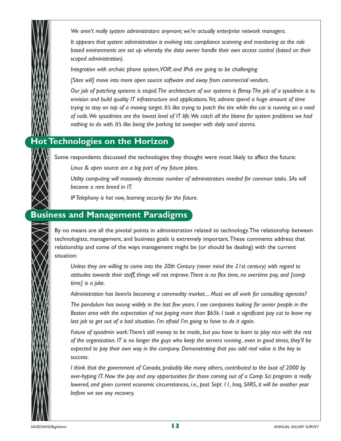*We aren't really system administrators anymore; we're actually enterprise network managers.*

*It appears that system administration is evolving into compliance scanning and monitoring as the role based environments are set up whereby the data owner handle their own access control (based on their scoped administration).*

*Integration with archaic phone system,VOIP, and IPv6 are going to be challenging* 

*[Sites will] move into more open source software and away from commercial vendors.*

*Our job of patching systems is stupid.The architecture of our systems is flimsy.The job of a sysadmin is to envision and build quality IT infrastructure and applications.Yet, admins spend a huge amount of time trying to stay on top of a moving target. It's like trying to patch the tire while the car is running on a road of nails.We sysadmins are the lowest level of IT life.We catch all the blame for system problems we had nothing to do with. It's like being the parking lot sweeper with daily sand storms.*

## **Hot Technologies on the Horizon**

Some respondents discussed the technologies they thought were most likely to affect the future:

*Linux & open source are a big part of my future plans.*

*Utility computing will massively decrease number of administrators needed for common tasks. SAs will become a rare breed in IT.*

*IP Telephony is hot now, learning security for the future.*

## **Business and Management Paradigms**

By no means are all the pivotal points in administration related to technology.The relationship between technologists, management, and business goals is extremely important.These comments address that relationship and some of the ways management might be (or should be dealing) with the current situation:

*Unless they are willing to come into the 20th Century (never mind the 21st century) with regard to attitudes towards their staff, things will not improve.There is no flex time, no overtime pay, and [comp time] is a joke.*

*Administration has been/is becoming a commodity market.... Must we all work for consulting agencies?* 

*The pendulum has swung widely in the last few years. I see companies looking for senior people in the Boston area with the expectation of not paying more than \$65k. I took a significant pay cut to leave my last job to get out of a bad situation. I'm afraid I'm going to have to do it again.*

*Future of sysadmin work:There's still money to be made, but you have to learn to play nice with the rest of the organization. IT is no longer the guys who keep the servers running...even in good times, they'll be expected to pay their own way in the company. Demonstrating that you add real value is the key to success.*

*I think that the government of Canada, probably like many others, contributed to the bust of 2000 by over-hyping IT. Now the pay and any opportunities for those coming out of a Comp Sci program is really lowered, and given current economic circumstances, i.e., post Sept 11, Iraq, SARS, it will be another year before we see any recovery.*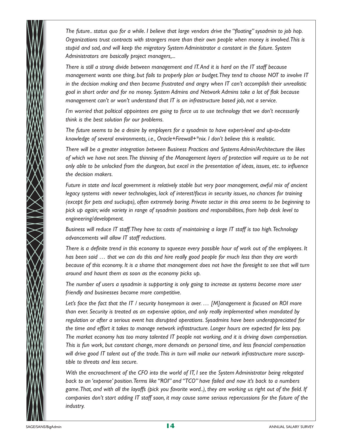*The future.. status quo for a while. I believe that large vendors drive the "floating" sysadmin to job hop. Organizations trust contracts with strangers more than their own people when money is involved.This is stupid and sad, and will keep the migratory System Administrator a constant in the future. System Administrators are basically project managers,...*

*There is still a strong divide between management and IT.And it is hard on the IT staff because management wants one thing, but fails to properly plan or budget.They tend to choose NOT to involve IT in the decision making and then become frustrated and angry when IT can't accomplish their unrealistic goal in short order and for no money. System Admins and Network Admins take a lot of flak because management can't or won't understand that IT is an infrastructure based job, not a service.*

*I'm worried that political appointees are going to force us to use technology that we don't necessarily think is the best solution for our problems.*

*The future seems to be a desire by employers for a sysadmin to have expert-level and up-to-date knowledge of several environments, i.e., Oracle+Firewall+\*nix. I don't believe this is realistic.*

*There will be a greater integration between Business Practices and Systems Admin/Architecture the likes of which we have not seen.The thinning of the Management layers of protection will require us to be not only able to be unlocked from the dungeon, but excel in the presentation of ideas, issues, etc. to influence the decision makers.*

*Future in state and local government is relatively stable but very poor management, awful mix of ancient legacy systems with newer technologies, lack of interest/focus in security issues, no chances for training (except for pets and suckups), often extremely boring. Private sector in this area seems to be beginning to pick up again; wide variety in range of sysadmin positions and responsibilities, from help desk level to engineering/development.*

*Business will reduce IT staff.They have to: costs of maintaining a large IT staff is too high.Technology advancements will allow IT staff reductions.*

*There is a definite trend in this economy to squeeze every possible hour of work out of the employees. It has been said … that we can do this and hire really good people for much less than they are worth because of this economy. It is a shame that management does not have the foresight to see that will turn around and haunt them as soon as the economy picks up.*

*The number of users a sysadmin is supporting is only going to increase as systems become more user friendly and businesses become more competitive.*

*Let's face the fact that the IT / security honeymoon is over. … [M]anagement is focused on ROI more than ever. Security is treated as an expensive option, and only really implemented when mandated by regulation or after a serious event has disrupted operations. Sysadmins have been underappreciated for the time and effort it takes to manage network infrastructure. Longer hours are expected for less pay. The market economy has too many talented IT people not working, and it is driving down compensation. This is fun work, but constant change, more demands on personal time, and less financial compensation will drive good IT talent out of the trade.This in turn will make our network infrastructure more susceptible to threats and less secure.*

*With the encroachment of the CFO into the world of IT, I see the System Administrator being relegated back to an 'expense' position.Terms like "ROI" and "TCO" have failed and now it's back to a numbers game.That, and with all the layoffs (pick you favorite word..), they are working us right out of the field. If companies don't start adding IT staff soon, it may cause some serious repercussions for the future of the industry.*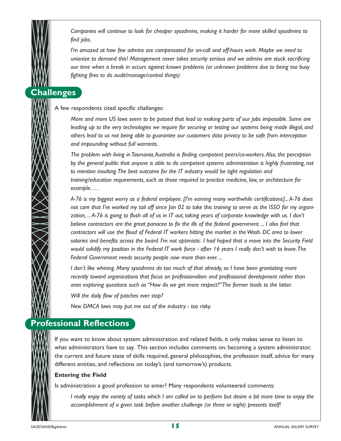*Companies will continue to look for cheaper sysadmins, making it harder for more skilled sysadmins to find jobs.*

*I'm amazed at how few admins are compensated for on-call and off-hours work. Maybe we need to unionize to demand this! Management never takes security serious and we admins are stuck sacrificing our time when a break in occurs against known problems (or unknown problems due to being too busy fighting fires to do audit/manage/control things)* 

## **Challenges**

A few respondents cited specific challenges:

*More and more US laws seem to be passed that lead to making parts of our jobs impossible. Some are leading up to the very technologies we require for securing or testing our systems being made illegal, and others lead to us not being able to guarantee our customers data privacy to be safe from interception and impounding without full warrants.*

*The problem with living in Tasmania,Australia is finding competent peers/co-workers.Also, the perception by the general public that anyone is able to do competent systems administration is highly frustrating, not to mention insulting.The best outcome for the IT industry would be tight regulation and training/education requirements, such as those required to practice medicine, law, or architecture for example. …*

*A-76 is my biggest worry as a federal employee. [I'm earning many worthwhile certifications]...A-76 does not care that I've worked my tail off since Jan 02 to take this training to serve as the ISSO for my organization, ...A-76 is going to flush all of us in IT out, taking years of corporate knowledge with us. I don't believe contractors are the great panacea to fix the ills of the federal government. ... I also feel that contractors will use the flood of Federal IT workers hitting the market in the Wash. DC area to lower salaries and benefits across the board. I'm not optimistic. I had hoped that a move into the Security Field would solidify my position in the Federal IT work force - after 16 years I really don't wish to leave.The Federal Government needs security people now more than ever. ...*

*I don't like whining. Many sysadmins do too much of that already, so I have been gravitating more recently toward organizations that focus on professionalism and professional development rather than ones exploring questions such as "How do we get more respect?"The former leads to the latter.*

*Will the daily flow of patches ever stop?* 

*New DMCA laws may put me out of the industry - too risky.*

## **Professional Reflections**

If you want to know about system administration and related fields, it only makes sense to listen to what administrators have to say. This section includes comments on: becoming a system administrator, the current and future state of skills required, general philosophies, the profession itself, advice for many different entities, and reflections on today's (and tomorrow's) products.

#### **Entering the Field**

Is administration a good profession to enter? Many respondents volunteered comments:

*I really enjoy the variety of tasks which I am called on to perform but desire a bit more time to enjoy the accomplishment of a given task before another challenge (or three or eight) presents itself!*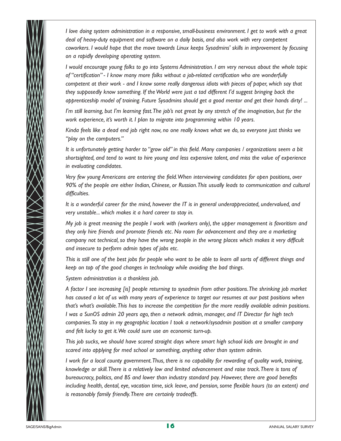*I love doing system administration in a responsive, small-business environment. I get to work with a great deal of heavy-duty equipment and software on a daily basis, and also work with very competent coworkers. I would hope that the move towards Linux keeps Sysadmins' skills in improvement by focusing on a rapidly developing operating system.*

*I would encourage young folks to go into Systems Administration. I am very nervous about the whole topic of "certification" - I know many more folks without a job-related certification who are wonderfully competent at their work - and I know some really dangerous idiots with pieces of paper, which say that they supposedly know something. If the World were just a tad different I'd suggest bringing back the apprenticeship model of training. Future Sysadmins should get a good mentor and get their hands dirty! ...*

*I'm still learning, but I'm learning fast.The job's not great by any stretch of the imagination, but for the work experience, it's worth it. I plan to migrate into programming within 10 years.*

*Kinda feels like a dead end job right now, no one really knows what we do, so everyone just thinks we "play on the computers."*

*It is unfortunately getting harder to "grow old" in this field. Many companies / organizations seem a bit shortsighted, and tend to want to hire young and less expensive talent, and miss the value of experience in evaluating candidates.*

*Very few young Americans are entering the field.When interviewing candidates for open positions, over 90% of the people are either Indian, Chinese, or Russian.This usually leads to communication and cultural difficulties.*

*It is a wonderful career for the mind, however the IT is in general underappreciated, undervalued, and very unstable... which makes it a hard career to stay in.*

*My job is great meaning the people I work with (workers only), the upper management is favoritism and they only hire friends and promote friends etc. No room for advancement and they are a marketing company not technical, so they have the wrong people in the wrong places which makes it very difficult and insecure to perform admin types of jobs etc.*

*This is still one of the best jobs for people who want to be able to learn all sorts of different things and keep on top of the good changes in technology while avoiding the bad things.*

*System administration is a thankless job.*

*A factor I see increasing [is] people returning to sysadmin from other positions.The shrinking job market has caused a lot of us with many years of experience to target our resumes at our past positions when that's what's available.This has to increase the competition for the more readily available admin positions. I was a SunOS admin 20 years ago, then a network admin, manager, and IT Director for high tech companies.To stay in my geographic location I took a network/sysadmin position at a smaller company and felt lucky to get it.We could sure use an economic turn-up.*

*This job sucks, we should have scared straight days where smart high school kids are brought in and scared into applying for med school or something, anything other than system admin.*

*I work for a local county government.Thus, there is no capability for rewarding of quality work, training, knowledge or skill.There is a relatively low and limited advancement and raise track.There is tons of bureaucracy, politics, and BS and lower than industry standard pay. However, there are good benefits including health, dental, eye, vacation time, sick leave, and pension, some flexible hours (to an extent) and is reasonably family friendly.There are certainly tradeoffs.*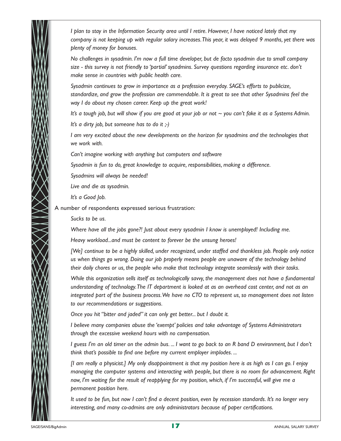

*I plan to stay in the Information Security area until I retire. However, I have noticed lately that my company is not keeping up with regular salary increases.This year, it was delayed 9 months, yet there was plenty of money for bonuses.*

*No challenges in sysadmin. I'm now a full time developer, but de facto sysadmin due to small company size - this survey is not friendly to 'partial' sysadmins. Survey questions regarding insurance etc. don't make sense in countries with public health care.*

*Sysadmin continues to grow in importance as a profession everyday. SAGE's efforts to publicize, standardize, and grow the profession are commendable. It is great to see that other Sysadmins feel the way I do about my chosen career. Keep up the great work!* 

*It's a tough job, but will show if you are good at your job or not ~ you can't fake it as a Systems Admin. It's a dirty job, but someone has to do it ;-)* 

*I am very excited about the new developments on the horizon for sysadmins and the technologies that we work with.*

*Can't imagine working with anything but computers and software* 

*Sysadmin is fun to do, great knowledge to acquire, responsibilities, making a difference.*

*Sysadmins will always be needed!* 

*Live and die as sysadmin.*

*It's a Good Job.*

A number of respondents expressed serious frustration:

*Sucks to be us.*

*Where have all the jobs gone?! Just about every sysadmin I know is unemployed! Including me.*

*Heavy workload...and must be content to forever be the unsung heroes!* 

*[We] continue to be a highly skilled, under recognized, under staffed and thankless job. People only notice us when things go wrong. Doing our job properly means people are unaware of the technology behind their daily chores or us, the people who make that technology integrate seamlessly with their tasks.*

*While this organization sells itself as technologically savvy, the management does not have a fundamental understanding of technology.The IT department is looked at as an overhead cost center, and not as an integrated part of the business process.We have no CTO to represent us, so management does not listen to our recommendations or suggestions.*

*Once you hit "bitter and jaded" it can only get better... but I doubt it.*

*I believe many companies abuse the 'exempt' policies and take advantage of Systems Administrators through the excessive weekend hours with no compensation.*

*I guess I'm an old timer on the admin bus. ... I want to go back to an R band D environment, but I don't think that's possible to find one before my current employer implodes. ...*

*[I am really a physicist.] My only disappointment is that my position here is as high as I can go. I enjoy managing the computer systems and interacting with people, but there is no room for advancement. Right now, I'm waiting for the result of reapplying for my position, which, if I'm successful, will give me a permanent position here.*

*It used to be fun, but now I can't find a decent position, even by recession standards. It's no longer very interesting, and many co-admins are only administrators because of paper certifications.*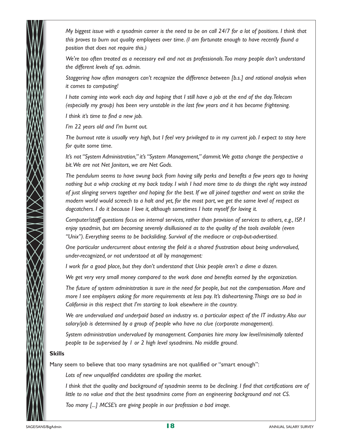*My biggest issue with a sysadmin career is the need to be on call 24/7 for a lot of positions. I think that this proves to burn out quality employees over time. (I am fortunate enough to have recently found a position that does not require this.)* 

*We're too often treated as a necessary evil and not as professionals.Too many people don't understand the different levels of sys. admin.*

*Staggering how often managers can't recognize the difference between [b.s.] and rational analysis when it comes to computing!* 

*I hate coming into work each day and hoping that I still have a job at the end of the day.Telecom (especially my group) has been very unstable in the last few years and it has become frightening.*

*I think it's time to find a new job.*

*I'm 22 years old and I'm burnt out.*

*The burnout rate is usually very high, but I feel very privileged to in my current job. I expect to stay here for quite some time.*

*It's not "System Administration," it's "System Management," dammit.We gotta change the perspective a bit.We are not Net Janitors, we are Net Gods.*

*The pendulum seems to have swung back from having silly perks and benefits a few years ago to having nothing but a whip cracking at my back today. I wish I had more time to do things the right way instead of just slinging servers together and hoping for the best. If we all joined together and went on strike the modern world would screech to a halt and yet, for the most part, we get the same level of respect as dogcatchers. I do it because I love it, although sometimes I hate myself for loving it.*

*Computer/staff questions focus on internal services, rather than provision of services to others, e.g., ISP. I enjoy sysadmin, but am becoming severely disillusioned as to the quality of the tools available (even "Unix"). Everything seems to be backsliding. Survival of the mediocre or crap-but-advertised.*

*One particular undercurrent about entering the field is a shared frustration about being undervalued, under-recognized, or not understood at all by management:*

*I work for a good place, but they don't understand that Unix people aren't a dime a dozen.*

*We get very very small money compared to the work done and benefits earned by the organization.*

*The future of system administration is sure in the need for people, but not the compensation. More and more I see employers asking for more requirements at less pay. It's disheartening.Things are so bad in California in this respect that I'm starting to look elsewhere in the country.*

*We are undervalued and underpaid based on industry vs. a particular aspect of the IT industry.Also our salary/job is determined by a group of people who have no clue (corporate management).*

*System administration undervalued by management. Companies hire many low level/minimally talented people to be supervised by 1 or 2 high level sysadmins. No middle ground.*

#### **Skills**

Many seem to believe that too many sysadmins are not qualified or "smart enough":

*Lots of new unqualified candidates are spoiling the market.*

*I think that the quality and background of sysadmin seems to be declining. I find that certifications are of little to no value and that the best sysadmins come from an engineering background and not CS.*

*Too many [...] MCSE's are giving people in our profession a bad image.*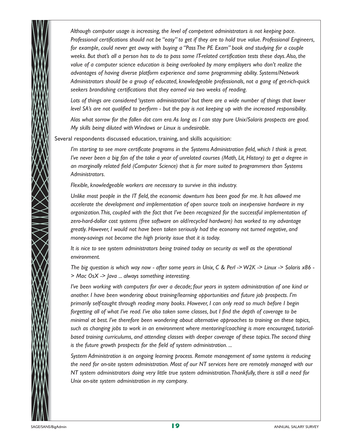*Although computer usage is increasing, the level of competent administrators is not keeping pace. Professional certifications should not be "easy" to get if they are to hold true value. Professional Engineers, for example, could never get away with buying a "Pass The PE Exam" book and studying for a couple weeks. But that's all a person has to do to pass some IT-related certification tests these days.Also, the value of a computer science education is being overlooked by many employers who don't realize the advantages of having diverse platform experience and some programming ability. Systems/Network Administrators should be a group of educated, knowledgeable professionals, not a gang of get-rich-quick seekers brandishing certifications that they earned via two weeks of reading.*

*Lots of things are considered 'system administration' but there are a wide number of things that lower level SA's are not qualified to perform - but the pay is not keeping up with the increased responsibility.*

*Alas what sorrow for the fallen dot com era.As long as I can stay pure Unix/Solaris prospects are good. My skills being diluted with Windows or Linux is undesirable.*

Several respondents discussed education, training, and skills acquisition:

*I'm starting to see more certificate programs in the Systems Administration field, which I think is great. I've never been a big fan of the take a year of unrelated courses (Math, Lit, History) to get a degree in an marginally related field (Computer Science) that is far more suited to programmers than Systems Administrators.*

*Flexible, knowledgeable workers are necessary to survive in this industry.*

*Unlike most people in the IT field, the economic downturn has been good for me. It has allowed me accelerate the development and implementation of open source tools on inexpensive hardware in my organization.This, coupled with the fact that I've been recognized for the successful implementation of zero-hard-dollar cost systems (free software on old/recycled hardware) has worked to my advantage greatly. However, I would not have been taken seriously had the economy not turned negative, and money-savings not become the high priority issue that it is today.*

*It is nice to see system administrators being trained today on security as well as the operational environment.*

*The big question is which way now - after some years in Unix, C & Perl -> W2K -> Linux -> Solaris x86 - > Mac OsX -> Java ... always something interesting.*

*I've been working with computers for over a decade; four years in system administration of one kind or another. I have been wondering about training/learning opportunities and future job prospects. I'm primarily self-taught through reading many books. However, I can only read so much before I begin forgetting all of what I've read. I've also taken some classes, but I find the depth of coverage to be minimal at best. I've therefore been wondering about alternative approaches to training on these topics, such as changing jobs to work in an environment where mentoring/coaching is more encouraged, tutorialbased training curriculums, and attending classes with deeper coverage of these topics.The second thing is the future growth prospects for the field of system administration. ...*

*System Administration is an ongoing learning process. Remote management of some systems is reducing the need for on-site system administration. Most of our NT services here are remotely managed with our NT system administrators doing very little true system administration.Thankfully, there is still a need for Unix on-site system administration in my company.*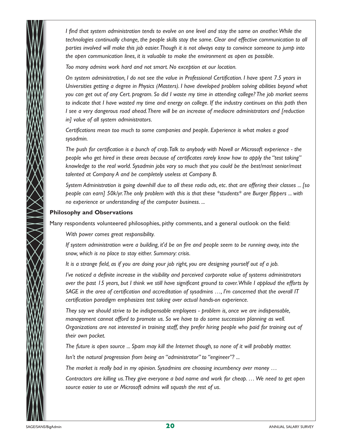*I find that system administration tends to evolve on one level and stay the same on another.While the technologies continually change, the people skills stay the same. Clear and effective communication to all parties involved will make this job easier.Though it is not always easy to convince someone to jump into the open communication lines, it is valuable to make the environment as open as possible.*

*Too many admins work hard and not smart. No exception at our location.*

*On system administration, I do not see the value in Professional Certification. I have spent 7.5 years in Universities getting a degree in Physics (Masters). I have developed problem solving abilities beyond what you can get out of any Cert. program. So did I waste my time in attending college? The job market seems to indicate that I have wasted my time and energy on college. If the industry continues on this path then I see a very dangerous road ahead.There will be an increase of mediocre administrators and [reduction in] value of all system administrators.*

*Certifications mean too much to some companies and people. Experience is what makes a good sysadmin.*

*The push for certification is a bunch of crap.Talk to anybody with Novell or Microsoft experience - the people who get hired in these areas because of certificates rarely know how to apply the "test taking" knowledge to the real world. Sysadmin jobs vary so much that you could be the best/most senior/most talented at Company A and be completely useless at Company B.*

*System Administration is going downhill due to all these radio ads, etc. that are offering their classes ... [so people can earn] 50k/yr.The only problem with this is that these \*students\* are Burger flippers ... with no experience or understanding of the computer business. ...*

#### **Philosophy and Observations**

Many respondents volunteered philosophies, pithy comments, and a general outlook on the field:

*With power comes great responsibility.*

*If system administration were a building, it'd be on fire and people seem to be running away, into the snow, which is no place to stay either. Summary: crisis.*

*It is a strange field, as if you are doing your job right, you are designing yourself out of a job.*

*I've noticed a definite increase in the visibility and perceived corporate value of systems administrators over the past 15 years, but I think we still have significant ground to cover.While I applaud the efforts by SAGE in the area of certification and accreditation of sysadmins …, I'm concerned that the overall IT certification paradigm emphasizes test taking over actual hands-on experience.*

*They say we should strive to be indispensable employees - problem is, once we are indispensable, management cannot afford to promote us. So we have to do some succession planning as well. Organizations are not interested in training staff, they prefer hiring people who paid for training out of their own pocket.*

*The future is open source ... Spam may kill the Internet though, so none of it will probably matter. Isn't the natural progression from being an "administrator" to "engineer"? ...*

*The market is really bad in my opinion. Sysadmins are choosing incumbency over money …* 

*Contractors are killing us.They give everyone a bad name and work for cheap. … We need to get open source easier to use or Microsoft admins will squash the rest of us.*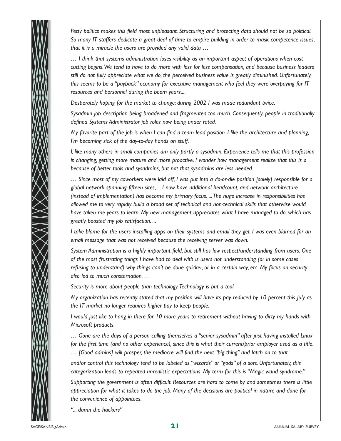*Petty politics makes this field most unpleasant. Structuring and protecting data should not be so political. So many IT staffers dedicate a great deal of time to empire building in order to mask competence issues, that it is a miracle the users are provided any valid data …*

*… I think that systems administration loses visibility as an important aspect of operations when cost cutting begins.We tend to have to do more with less for less compensation, and because business leaders still do not fully appreciate what we do, the perceived business value is greatly diminished. Unfortunately, this seems to be a "payback" economy for executive management who feel they were overpaying for IT resources and personnel during the boom years....*

*Desperately hoping for the market to change; during 2002 I was made redundant twice.*

*Sysadmin job description being broadened and fragmented too much. Consequently, people in traditionally defined Systems Administrator job roles now being under rated.*

*My favorite part of the job is when I can find a team lead position. I like the architecture and planning, I'm becoming sick of the day-to-day hands on stuff.*

*I, like many others in small companies am only partly a sysadmin. Experience tells me that this profession is changing, getting more mature and more proactive. I wonder how management realize that this is a because of better tools and sysadmins, but not that sysadmins are less needed.*

*… Since most of my coworkers were laid off, I was put into a do-or-die position [solely] responsible for a global network spanning fifteen sites, ... I now have additional headcount, and network architecture (instead of implementation) has become my primary focus. ...The huge increase in responsibilities has allowed me to very rapidly build a broad set of technical and non-technical skills that otherwise would have taken me years to learn. My new management appreciates what I have managed to do, which has greatly boosted my job satisfaction. ...*

*I take blame for the users installing apps on their systems and email they get. I was even blamed for an email message that was not received because the receiving server was down.*

*System Administration is a highly important field, but still has low respect/understanding from users. One of the most frustrating things I have had to deal with is users not understanding (or in some cases refusing to understand) why things can't be done quicker, or in a certain way, etc. My focus on security also led to much consternation. …* 

*Security is more about people than technology.Technology is but a tool.*

*My organization has recently stated that my position will have its pay reduced by 10 percent this July as the IT market no longer requires higher pay to keep people.*

*I would just like to hang in there for 10 more years to retirement without having to dirty my hands with Microsoft products.*

*… Gone are the days of a person calling themselves a "senior sysadmin" after just having installed Linux for the first time (and no other experience), since this is what their current/prior employer used as a title. … [Good admins] will prosper, the mediocre will find the next "big thing" and latch on to that.*

*and/or control this technology tend to be labeled as "wizards" or "gods" of a sort. Unfortunately, this categorization leads to repeated unrealistic expectations. My term for this is "Magic wand syndrome."*

*Supporting the government is often difficult. Resources are hard to come by and sometimes there is little appreciation for what it takes to do the job. Many of the decisions are political in nature and done for the convenience of appointees.*

*"... damn the hackers"*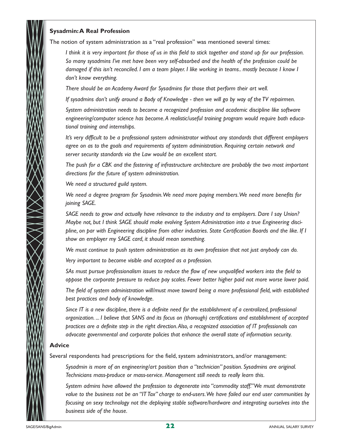

#### **Sysadmin:A Real Profession**

The notion of system administration as a "real profession" was mentioned several times:

*I think it is very important for those of us in this field to stick together and stand up for our profession. So many sysadmins I've met have been very self-absorbed and the health of the profession could be damaged if this isn't reconciled. I am a team player. I like working in teams.. mostly because I know I don't know everything.*

*There should be an Academy Award for Sysadmins for those that perform their art well.*

*If sysadmins don't unify around a Body of Knowledge - then we will go by way of the TV repairmen.*

*System administration needs to become a recognized profession and academic discipline like software engineering/computer science has become.A realistic/useful training program would require both educational training and internships.*

*It's very difficult to be a professional system administrator without any standards that different employers agree on as to the goals and requirements of system administration. Requiring certain network and server security standards via the Law would be an excellent start.*

*The push for a CBK and the fostering of infrastructure architecture are probably the two most important directions for the future of system administration.*

*We need a structured guild system.*

*We need a degree program for Sysadmin.We need more paying members.We need more benefits for joining SAGE.*

*SAGE needs to grow and actually have relevance to the industry and to employers. Dare I say Union? Maybe not, but I think SAGE should make evolving System Administration into a true Engineering discipline, on par with Engineering discipline from other industries. State Certification Boards and the like. If I show an employer my SAGE card, it should mean something.*

*We must continue to push system administration as its own profession that not just anybody can do.*

*Very important to become visible and accepted as a profession.*

*SAs must pursue professionalism issues to reduce the flow of new unqualified workers into the field to oppose the corporate pressure to reduce pay scales. Fewer better higher paid not more worse lower paid.*

*The field of system administration will/must move toward being a more professional field, with established best practices and body of knowledge.*

*Since IT is a new discipline, there is a definite need for the establishment of a centralized, professional organization. ... I believe that SANS and its focus on (thorough) certifications and establishment of accepted practices are a definite step in the right direction.Also, a recognized association of IT professionals can advocate governmental and corporate policies that enhance the overall state of information security.*

#### **Advice**

Several respondents had prescriptions for the field, system administrators, and/or management:

*Sysadmin is more of an engineering/art position than a "technician" position. Sysadmins are original. Technicians mass-produce or mass-service. Management still needs to really learn this.*

*System admins have allowed the profession to degenerate into "commodity staff."We must demonstrate value to the business not be an "IT Tax" charge to end-users.We have failed our end user communities by focusing on sexy technology not the deploying stable software/hardware and integrating ourselves into the business side of the house.*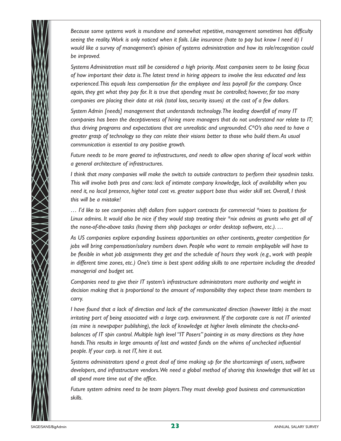*Because some systems work is mundane and somewhat repetitive, management sometimes has difficulty seeing the reality.Work is only noticed when it fails. Like insurance (hate to pay but know I need it) I would like a survey of management's opinion of systems administration and how its role/recognition could be improved.*

*Systems Administration must still be considered a high priority. Most companies seem to be losing focus of how important their data is.The latest trend in hiring appears to involve the less educated and less experienced.This equals less compensation for the employee and less payroll for the company. Once again, they get what they pay for. It is true that spending must be controlled; however, far too many companies are placing their data at risk (total loss, security issues) at the cost of a few dollars.*

*System Admin [needs] management that understands technology.The leading downfall of many IT companies has been the deceptiveness of hiring more managers that do not understand nor relate to IT; thus driving programs and expectations that are unrealistic and ungrounded. C\*O's also need to have a greater grasp of technology so they can relate their visions better to those who build them.As usual communication is essential to any positive growth.*

*Future needs to be more geared to infrastructures, and needs to allow open sharing of local work within a general architecture of infrastructures.*

*I think that many companies will make the switch to outside contractors to perform their sysadmin tasks. This will involve both pros and cons: lack of intimate company knowledge, lack of availability when you need it, no local presence, higher total cost vs. greater support base thus wider skill set. Overall, I think this will be a mistake!* 

*… I'd like to see companies shift dollars from support contracts for commercial \*nixes to positions for Linux admins. It would also be nice if they would stop treating their \*nix admins as grunts who get all of the none-of-the-above tasks (having them ship packages or order desktop software, etc.). …* 

*As US companies explore expanding business opportunities on other continents, greater competition for jobs will bring compensation/salary numbers down. People who want to remain employable will have to be flexible in what job assignments they get and the schedule of hours they work (e.g., work with people in different time zones, etc.) One's time is best spent adding skills to one repertoire including the dreaded managerial and budget set.*

*Companies need to give their IT system's infrastructure administrators more authority and weight in decision making that is proportional to the amount of responsibility they expect these team members to carry.*

*I have found that a lack of direction and lack of the communicated direction (however little) is the most irritating part of being associated with a large corp. environment. If the corporate core is not IT oriented (as mine is newspaper publishing), the lack of knowledge at higher levels eliminate the checks-andbalances of IT spin control. Multiple high level "IT Posers" pointing in as many directions as they have hands.This results in large amounts of lost and wasted funds on the whims of unchecked influential people. If your corp. is not IT, hire it out.*

*Systems administrators spend a great deal of time making up for the shortcomings of users, software developers, and infrastructure vendors.We need a global method of sharing this knowledge that will let us all spend more time out of the office.*

*Future system admins need to be team players.They must develop good business and communication skills.*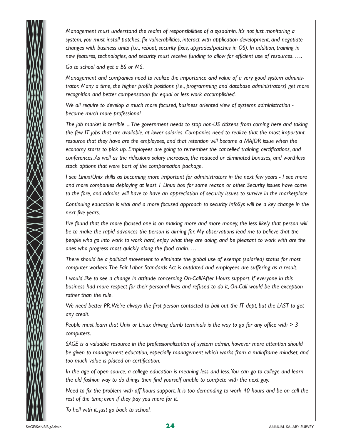*Management must understand the realm of responsibilities of a sysadmin. It's not just monitoring a system, you must install patches, fix vulnerabilities, interact with application development, and negotiate changes with business units (i.e., reboot, security fixes, upgrades/patches in OS). In addition, training in new features, technologies, and security must receive funding to allow for efficient use of resources. ….*

*Go to school and get a BS or MS.*

*Management and companies need to realize the importance and value of a very good system administrator. Many a time, the higher profile positions (i.e., programming and database administrators) get more recognition and better compensation for equal or less work accomplished.*

*We all require to develop a much more focused, business oriented view of systems administration become much more professional* 

*The job market is terrible. ...The government needs to stop non-US citizens from coming here and taking the few IT jobs that are available, at lower salaries. Companies need to realize that the most important resource that they have are the employees, and that retention will become a MAJOR issue when the economy starts to pick up. Employees are going to remember the cancelled training, certifications, and conferences.As well as the ridiculous salary increases, the reduced or eliminated bonuses, and worthless stock options that were part of the compensation package.*

*I see Linux/Unix skills as becoming more important for administrators in the next few years - I see more and more companies deploying at least 1 Linux box for some reason or other. Security issues have come to the fore, and admins will have to have an appreciation of security issues to survive in the marketplace.*

*Continuing education is vital and a more focused approach to security InfoSys will be a key change in the next five years.*

*I've found that the more focused one is on making more and more money, the less likely that person will be to make the rapid advances the person is aiming for. My observations lead me to believe that the people who go into work to work hard, enjoy what they are doing, and be pleasant to work with are the ones who progress most quickly along the food chain. …*

*There should be a political movement to eliminate the global use of exempt (salaried) status for most computer workers.The Fair Labor Standards Act is outdated and employees are suffering as a result.*

*I would like to see a change in attitude concerning On-Call/After Hours support. If everyone in this business had more respect for their personal lives and refused to do it, On-Call would be the exception rather than the rule.*

*We need better PR.We're always the first person contacted to bail out the IT dept, but the LAST to get any credit.*

*People must learn that Unix or Linux driving dumb terminals is the way to go for any office with > 3 computers.*

*SAGE is a valuable resource in the professionalization of system admin, however more attention should be given to management education, especially management which works from a mainframe mindset, and too much value is placed on certification.*

*In the age of open source, a college education is meaning less and less.You can go to college and learn the old fashion way to do things then find yourself unable to compete with the next guy.*

*Need to fix the problem with off hours support. It is too demanding to work 40 hours and be on call the rest of the time; even if they pay you more for it.*

*To hell with it, just go back to school.*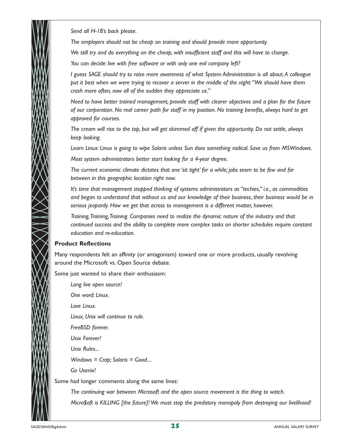*Send all H-1B's back please.*

*The employers should not be cheap on training and should provide more opportunity.*

*We still try and do everything on the cheap, with insufficient staff and this will have to change.*

*You can decide: live with free software or with only one evil company left?* 

*I guess SAGE should try to raise more awareness of what System Administration is all about.A colleague put it best when we were trying to recover a server in the middle of the night:"We should have them crash more often, now all of the sudden they appreciate us."*

*Need to have better trained management, provide staff with clearer objectives and a plan for the future of our corporation. No real career path for staff in my position. No training benefits, always hard to get approved for courses.*

*The cream will rise to the top, but will get skimmed off if given the opportunity. Do not settle, always keep looking.*

*Learn Linux: Linux is going to wipe Solaris unless Sun does something radical. Save us from MSWindows. Most system administrators better start looking for a 4-year degree.*

*The current economic climate dictates that one 'sit tight' for a while; jobs seem to be few and far between in this geographic location right now.*

*It's time that management stopped thinking of systems administrators as "techies," i.e., as commodities and began to understand that without us and our knowledge of their business, their business would be in serious jeopardy. How we get that across to management is a different matter, however.*

*Training,Training,Training. Companies need to realize the dynamic nature of the industry and that continued success and the ability to complete more complex tasks on shorter schedules require constant education and re-education.*

#### **Product Reflections**

Many respondents felt an affinity (or antagonism) toward one or more products, usually revolving around the Microsoft vs. Open Source debate.

Some just wanted to share their enthusiasm:

*Long live open source! One word: Linux. Love Linux. Linux, Unix will continue to rule. FreeBSD forever. Unix Forever! Unix Rules... Windows = Crap; Solaris = Good.... Go Usenix!*  Some had longer comments along the same lines:

> *The continuing war between Microsoft and the open source movement is the thing to watch. Micro\$oft is KILLING [the future]! We must stop the predatory monopoly from destroying our livelihood!*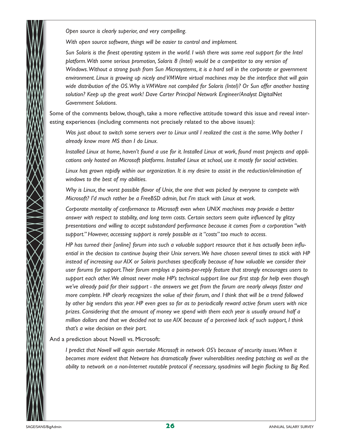*Open source is clearly superior, and very compelling.*

*With open source software, things will be easier to control and implement.*

*Sun Solaris is the finest operating system in the world. I wish there was some real support for the Intel platform.With some serious promotion, Solaris 8 (Intel) would be a competitor to any version of Windows.Without a strong push from Sun Microsystems, it is a hard sell in the corporate or government environment. Linux is growing up nicely and VMWare virtual machines may be the interface that will gain wide distribution of the OS.Why is VMWare not compiled for Solaris (Intel)? Or Sun offer another hosting solution? Keep up the great work! Dave Carter Principal Network Engineer/Analyst DigitalNet Government Solutions.*

Some of the comments below, though, take a more reflective attitude toward this issue and reveal interesting experiences (including comments not precisely related to the above issues):

*Was just about to switch some servers over to Linux until I realized the cost is the same.Why bother I already know more MS than I do Linux.*

*Installed Linux at home, haven't found a use for it. Installed Linux at work, found most projects and applications only hosted on Microsoft platforms. Installed Linux at school, use it mostly for social activities.*

*Linux has grown rapidly within our organization. It is my desire to assist in the reduction/elimination of windows to the best of my abilities.*

*Why is Linux, the worst possible flavor of Unix, the one that was picked by everyone to compete with Microsoft? I'd much rather be a FreeBSD admin, but I'm stuck with Linux at work.*

*Corporate mentality of conformance to Microsoft even when UNIX machines may provide a better answer with respect to stability, and long term costs. Certain sectors seem quite influenced by glitzy presentations and willing to accept substandard performance because it comes from a corporation "with support." However, accessing support is rarely possible as it "costs" too much to access.*

*HP has turned their [online] forum into such a valuable support resource that it has actually been influential in the decision to continue buying their Unix servers.We have chosen several times to stick with HP instead of increasing our AIX or Solaris purchases specifically because of how valuable we consider their user forums for support.Their forum employs a points-per-reply feature that strongly encourages users to support each other.We almost never make HP's technical support line our first stop for help even though we've already paid for their support - the answers we get from the forum are nearly always faster and more complete. HP clearly recognizes the value of their forum, and I think that will be a trend followed by other big vendors this year. HP even goes so far as to periodically reward active forum users with nice prizes. Considering that the amount of money we spend with them each year is usually around half a million dollars and that we decided not to use AIX because of a perceived lack of such support, I think that's a wise decision on their part.*

And a prediction about Novell vs. Microsoft:

*I predict that Novell will again overtake Microsoft in network OS's because of security issues.When it becomes more evident that Netware has dramatically fewer vulnerabilities needing patching as well as the ability to network on a non-Internet routable protocol if necessary, sysadmins will begin flocking to Big Red.*